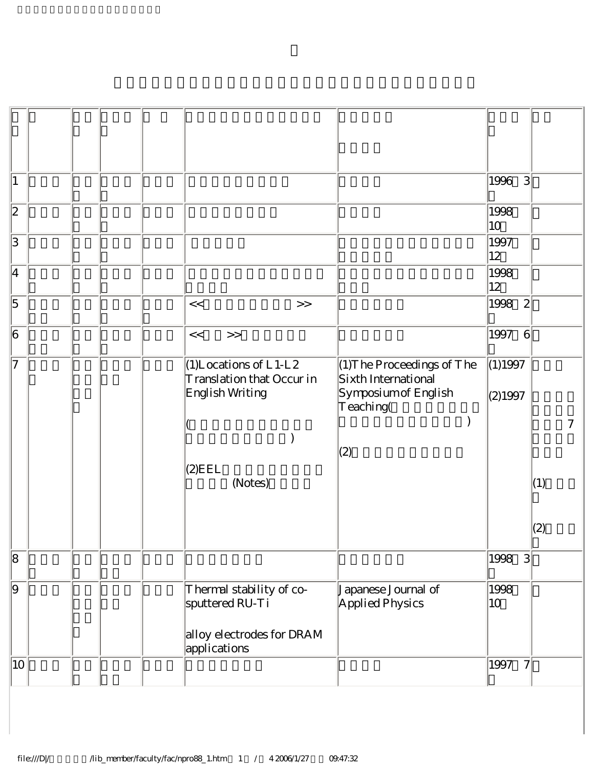| $\vert$ 1                |  |  |                                                                          |                                                                                          | 3 <br>1996             |     |
|--------------------------|--|--|--------------------------------------------------------------------------|------------------------------------------------------------------------------------------|------------------------|-----|
| $\overline{2}$           |  |  |                                                                          |                                                                                          | 1998<br>$ 10\rangle$   |     |
| $\overline{\mathcal{S}}$ |  |  |                                                                          |                                                                                          | 1997<br>$ 12\rangle$   |     |
| $\vert 4 \vert$          |  |  |                                                                          |                                                                                          | 1998<br>$ 12\rangle$   |     |
| $\overline{5}$           |  |  | <<<br>$>>$                                                               |                                                                                          | 1998<br>$\mathbf{2}$   |     |
| $\overline{6}$           |  |  | <<<br>$>>$                                                               |                                                                                          | 1997<br>6              |     |
| 17                       |  |  | $(1)$ Locations of L1-L2<br>Translation that Occur in<br>English Writing | $(1)$ The Proceedings of The<br>Sixth International<br>Symposium of English<br>Teaching( | (1)1997<br>(2)1997     |     |
|                          |  |  |                                                                          | (2)                                                                                      |                        | 7   |
|                          |  |  | $(2)$ EEL<br>(Notes)                                                     |                                                                                          |                        | (1) |
|                          |  |  |                                                                          |                                                                                          |                        | (2) |
| $\sqrt{8}$               |  |  |                                                                          |                                                                                          | 1998<br> 3             |     |
| $\overline{\Theta}$      |  |  | Thermal stability of co-<br>sputtered RU-Ti                              | Japanese Journal of<br>Applied Physics                                                   | 1998<br>$ 10\rangle$   |     |
|                          |  |  | alloy electrodes for DRAM<br>applications                                |                                                                                          |                        |     |
| 10                       |  |  |                                                                          |                                                                                          | 1997<br>$\overline{7}$ |     |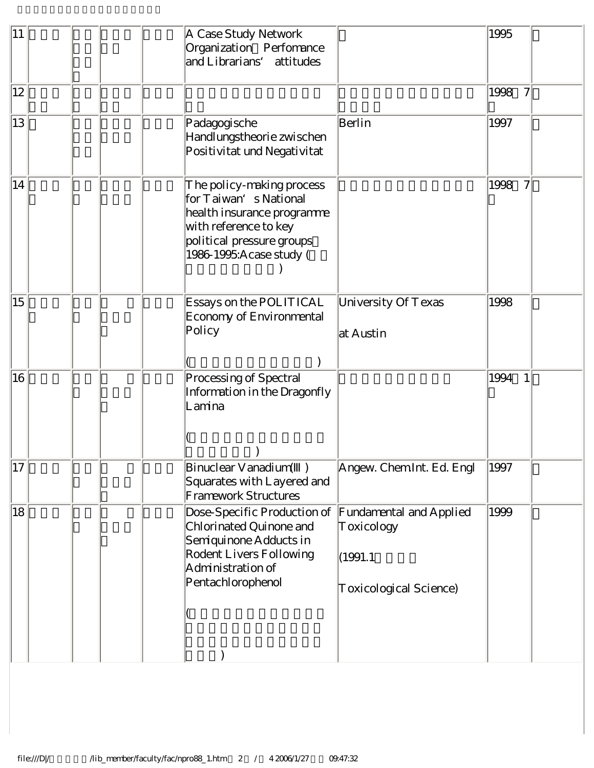| 11           | A Case Study Network<br>Organization Perfomance<br>and Librarians'<br>attitudes                                                                                     |                                                                            | 1995                             |
|--------------|---------------------------------------------------------------------------------------------------------------------------------------------------------------------|----------------------------------------------------------------------------|----------------------------------|
| $ 12\rangle$ |                                                                                                                                                                     |                                                                            | 1998<br>$\overline{\mathcal{U}}$ |
| 13           | Padagogische<br>Handlungstheorie zwischen<br>Positivitat und Negativitat                                                                                            | Berlin                                                                     | 1997                             |
| 14           | The policy-making process<br>for Taiwan's National<br>health insurance programme<br>with reference to key<br>political pressure groups<br>1986-1995: A case study ( |                                                                            | 1998<br>7                        |
| 15           | Essays on the POLITICAL<br>Economy of Environmental<br>Policy                                                                                                       | University Of Texas<br>at Austin                                           | 1998                             |
| 16           | Processing of Spectral<br>Information in the Dragonfly<br>Lamina                                                                                                    |                                                                            | 1994<br>1                        |
| 17           | Binuclear Vanadium()<br>Squarates with Layered and<br>Framework Structures                                                                                          | Angew. Chem Int. Ed. Engl                                                  | 1997                             |
| 18           | Dose-Specific Production of<br>Chlorinated Quinone and<br>Semiquinone Adducts in<br>Rodent Livers Following<br>Administration of<br>Pentachlorophenol               | Fundamental and Applied<br>Toxicology<br>(1991.1<br>Toxicological Science) | 1999                             |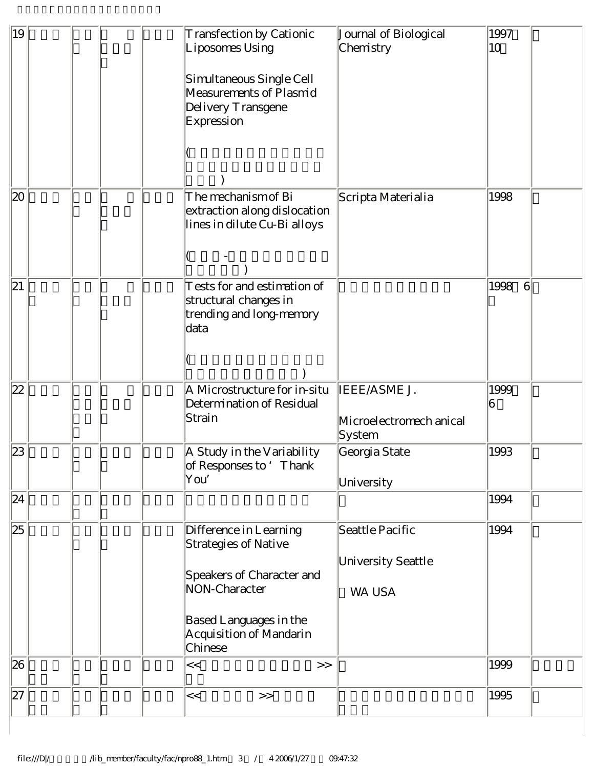| 19 | Transfection by Cationic<br>Liposomes Using                                                  | Journal of Biological<br>Chemistry                | 1997<br>10              |
|----|----------------------------------------------------------------------------------------------|---------------------------------------------------|-------------------------|
|    | Simultaneous Single Cell<br>Measurements of Plasmid<br>Delivery Transgene<br>Expression      |                                                   |                         |
|    |                                                                                              |                                                   |                         |
| 20 | The mechanism of Bi<br>extraction along dislocation<br>lines in dilute Cu-Bi alloys          | Scripta Materialia                                | 1998                    |
| 21 | Tests for and estimation of<br>structural changes in<br>trending and long-memory<br>data     |                                                   | 1998<br>$6\overline{6}$ |
|    |                                                                                              |                                                   |                         |
| 22 | A Microstructure for in-situ<br>Determination of Residual<br>Strain                          | IEEE/ASME J.<br>Microelectromech anical<br>System | 1999<br>16              |
| 23 | A Study in the Variability<br>of Responses to 'Thank<br>You'                                 | Georgia State<br>University                       | 1993                    |
| 24 |                                                                                              |                                                   | 1994                    |
| 25 | Difference in Learning<br>Strategies of Native<br>Speakers of Character and<br>NON-Character | Seattle Pacific<br>University Seattle<br>WA USA   | 1994                    |
|    | Based Languages in the<br>Acquisition of Mandarin<br>Chinese                                 |                                                   |                         |
| 26 | $\lt$<br>$>>$                                                                                |                                                   | 1999                    |
| 27 | $\lt$<br>$>>$                                                                                |                                                   | 1995                    |
|    |                                                                                              |                                                   |                         |